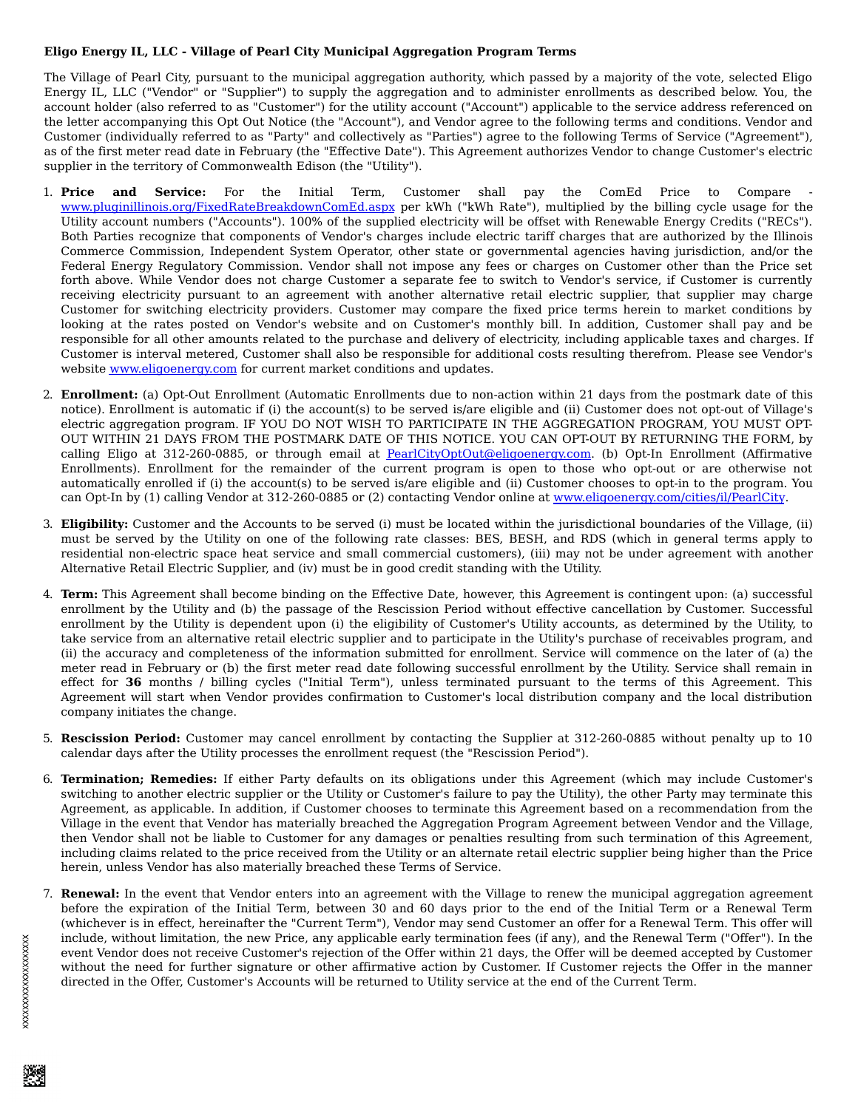## **Eligo Energy IL, LLC - Village of Pearl City Municipal Aggregation Program Terms**

The Village of Pearl City, pursuant to the municipal aggregation authority, which passed by a majority of the vote, selected Eligo Energy IL, LLC ("Vendor" or "Supplier") to supply the aggregation and to administer enrollments as described below. You, the account holder (also referred to as "Customer") for the utility account ("Account") applicable to the service address referenced on the letter accompanying this Opt Out Notice (the "Account"), and Vendor agree to the following terms and conditions. Vendor and Customer (individually referred to as "Party" and collectively as "Parties") agree to the following Terms of Service ("Agreement"), as of the first meter read date in February (the "Effective Date"). This Agreement authorizes Vendor to change Customer's electric supplier in the territory of Commonwealth Edison (the "Utility").

- 1. **Price and Service:** For the Initial Term, Customer shall pay the ComEd Price to Compare www.pluginillinois.org/FixedRateBreakdownComEd.aspx per kWh ("kWh Rate"), multiplied by the billing cycle usage for the Utility account numbers ("Accounts"). 100% of the supplied electricity will be offset with Renewable Energy Credits ("RECs"). Both Parties recognize that components of Vendor's charges include electric tariff charges that are authorized by the Illinois Commerce Commission, Independent System Operator, other state or governmental agencies having jurisdiction, and/or the Federal Energy Regulatory Commission. Vendor shall not impose any fees or charges on Customer other than the Price set forth above. While Vendor does not charge Customer a separate fee to switch to Vendor's service, if Customer is currently receiving electricity pursuant to an agreement with another alternative retail electric supplier, that supplier may charge Customer for switching electricity providers. Customer may compare the fixed price terms herein to market conditions by looking at the rates posted on Vendor's website and on Customer's monthly bill. In addition, Customer shall pay and be responsible for all other amounts related to the purchase and delivery of electricity, including applicable taxes and charges. If Customer is interval metered, Customer shall also be responsible for additional costs resulting therefrom. Please see Vendor's website www.eligoenergy.com for current market conditions and updates.
- 2. **Enrollment:** (a) Opt-Out Enrollment (Automatic Enrollments due to non-action within 21 days from the postmark date of this notice). Enrollment is automatic if (i) the account(s) to be served is/are eligible and (ii) Customer does not opt-out of Village's electric aggregation program. IF YOU DO NOT WISH TO PARTICIPATE IN THE AGGREGATION PROGRAM, YOU MUST OPT-OUT WITHIN 21 DAYS FROM THE POSTMARK DATE OF THIS NOTICE. YOU CAN OPT-OUT BY RETURNING THE FORM, by calling Eligo at 312-260-0885, or through email at PearlCityOptOut@eligoenergy.com. (b) Opt-In Enrollment (Affirmative Enrollments). Enrollment for the remainder of the current program is open to those who opt-out or are otherwise not automatically enrolled if (i) the account(s) to be served is/are eligible and (ii) Customer chooses to opt-in to the program. You can Opt-In by (1) calling Vendor at 312-260-0885 or (2) contacting Vendor online at www.eligoenergy.com/cities/il/PearlCity.
- 3. **Eligibility:** Customer and the Accounts to be served (i) must be located within the jurisdictional boundaries of the Village, (ii) must be served by the Utility on one of the following rate classes: BES, BESH, and RDS (which in general terms apply to residential non-electric space heat service and small commercial customers), (iii) may not be under agreement with another Alternative Retail Electric Supplier, and (iv) must be in good credit standing with the Utility.
- 4. **Term:** This Agreement shall become binding on the Effective Date, however, this Agreement is contingent upon: (a) successful enrollment by the Utility and (b) the passage of the Rescission Period without effective cancellation by Customer. Successful enrollment by the Utility is dependent upon (i) the eligibility of Customer's Utility accounts, as determined by the Utility, to take service from an alternative retail electric supplier and to participate in the Utility's purchase of receivables program, and (ii) the accuracy and completeness of the information submitted for enrollment. Service will commence on the later of (a) the meter read in February or (b) the first meter read date following successful enrollment by the Utility. Service shall remain in effect for **36** months / billing cycles ("Initial Term"), unless terminated pursuant to the terms of this Agreement. This Agreement will start when Vendor provides confirmation to Customer's local distribution company and the local distribution company initiates the change.
- 5. **Rescission Period:** Customer may cancel enrollment by contacting the Supplier at 312-260-0885 without penalty up to 10 calendar days after the Utility processes the enrollment request (the "Rescission Period").
- 6. **Termination; Remedies:** If either Party defaults on its obligations under this Agreement (which may include Customer's switching to another electric supplier or the Utility or Customer's failure to pay the Utility), the other Party may terminate this Agreement, as applicable. In addition, if Customer chooses to terminate this Agreement based on a recommendation from the Village in the event that Vendor has materially breached the Aggregation Program Agreement between Vendor and the Village, then Vendor shall not be liable to Customer for any damages or penalties resulting from such termination of this Agreement, including claims related to the price received from the Utility or an alternate retail electric supplier being higher than the Price herein, unless Vendor has also materially breached these Terms of Service.
- 7. **Renewal:** In the event that Vendor enters into an agreement with the Village to renew the municipal aggregation agreement before the expiration of the Initial Term, between 30 and 60 days prior to the end of the Initial Term or a Renewal Term (whichever is in effect, hereinafter the "Current Term"), Vendor may send Customer an offer for a Renewal Term. This offer will include, without limitation, the new Price, any applicable early termination fees (if any), and the Renewal Term ("Offer"). In the event Vendor does not receive Customer's rejection of the Offer within 21 days, the Offer will be deemed accepted by Customer without the need for further signature or other affirmative action by Customer. If Customer rejects the Offer in the manner directed in the Offer, Customer's Accounts will be returned to Utility service at the end of the Current Term.